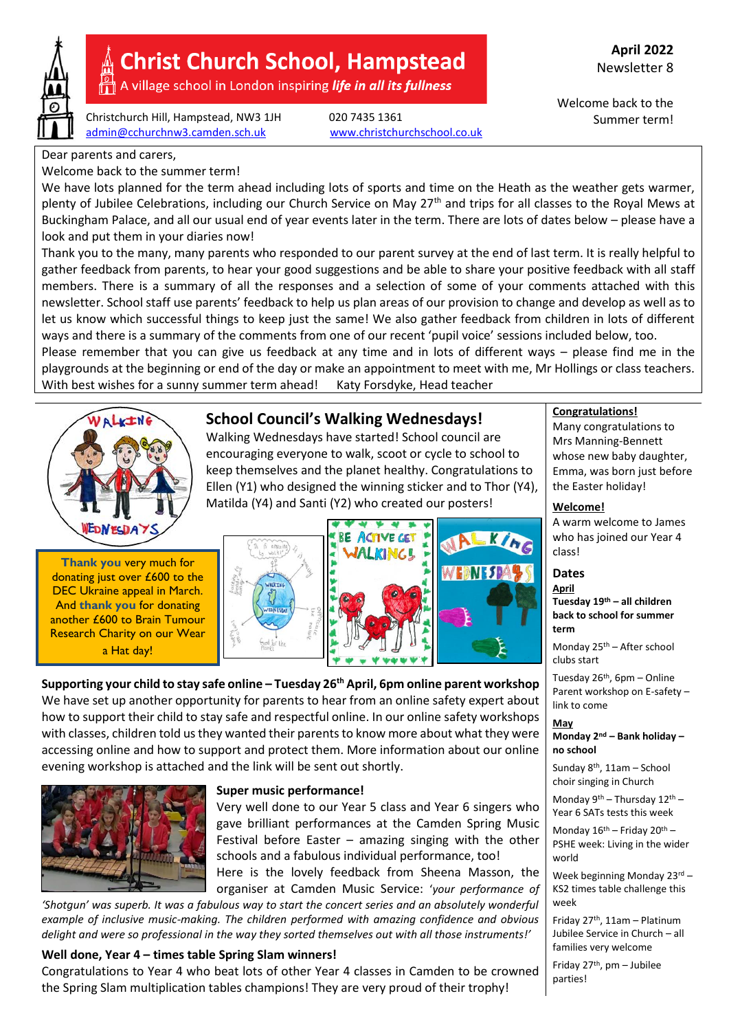

# **Christ Church School, Hampstead**

A village school in London inspiring life in all its fullness

Christchurch Hill, Hampstead, NW3 1JH 020 7435 1361 [admin@cchurchnw3.camden.sch.uk](mailto:admin@cchurchnw3.camden.sch.uk) [www.christchurchschool.co.uk](http://www.christchurchschool.co.uk/)

Welcome back to the Summer term!

Dear parents and carers,

Welcome back to the summer term!

We have lots planned for the term ahead including lots of sports and time on the Heath as the weather gets warmer, plenty of Jubilee Celebrations, including our Church Service on May 27<sup>th</sup> and trips for all classes to the Royal Mews at Buckingham Palace, and all our usual end of year events later in the term. There are lots of dates below – please have a look and put them in your diaries now!

Thank you to the many, many parents who responded to our parent survey at the end of last term. It is really helpful to gather feedback from parents, to hear your good suggestions and be able to share your positive feedback with all staff members. There is a summary of all the responses and a selection of some of your comments attached with this newsletter. School staff use parents' feedback to help us plan areas of our provision to change and develop as well as to let us know which successful things to keep just the same! We also gather feedback from children in lots of different ways and there is a summary of the comments from one of our recent 'pupil voice' sessions included below, too.

Please remember that you can give us feedback at any time and in lots of different ways – please find me in the playgrounds at the beginning or end of the day or make an appointment to meet with me, Mr Hollings or class teachers. With best wishes for a sunny summer term ahead! Katy Forsdyke, Head teacher



## **School Council's Walking Wednesdays!**

Walking Wednesdays have started! School council are encouraging everyone to walk, scoot or cycle to school to keep themselves and the planet healthy. Congratulations to Ellen (Y1) who designed the winning sticker and to Thor (Y4), Matilda (Y4) and Santi (Y2) who created our posters!







**Supporting your child to stay safe online – Tuesday 26th April, 6pm online parent workshop** We have set up another opportunity for parents to hear from an online safety expert about how to support their child to stay safe and respectful online. In our online safety workshops with classes, children told us they wanted their parents to know more about what they were accessing online and how to support and protect them. More information about our online evening workshop is attached and the link will be sent out shortly.



#### **Super music performance!**

Very well done to our Year 5 class and Year 6 singers who gave brilliant performances at the Camden Spring Music Festival before Easter – amazing singing with the other schools and a fabulous individual performance, too! Here is the lovely feedback from Sheena Masson, the

organiser at Camden Music Service: '*your performance of* 

'Shotgun' was superb. It was a fabulous way to start the concert series and an absolutely wonderful *example of inclusive music-making. The children performed with amazing confidence and obvious delight and were so professional in the way they sorted themselves out with all those instruments!'*

#### **Well done, Year 4 – times table Spring Slam winners!**

Congratulations to Year 4 who beat lots of other Year 4 classes in Camden to be crowned the Spring Slam multiplication tables champions! They are very proud of their trophy!

**Congratulations!**

whose new baby daughter, Emma, was born just before the Easter holiday!

Many congratulations to Mrs Manning-Bennett

**Welcome!** A warm welcome to James who has joined our Year 4 class!

#### **Dates**

**April Tuesday 19th – all children back to school for summer term**

Monday 25th – After school clubs start

Tuesday 26th, 6pm – Online Parent workshop on E-safety – link to come

#### **May**

**Monday 2nd – Bank holiday – no school**

Sunday 8th, 11am – School choir singing in Church

Monday  $9^{th}$  – Thursday  $12^{th}$  – Year 6 SATs tests this week

Monday  $16^{\text{th}}$  – Friday  $20^{\text{th}}$  – PSHE week: Living in the wider world

Week beginning Monday 23rd -KS2 times table challenge this week

Friday  $27<sup>th</sup>$ , 11am – Platinum Jubilee Service in Church – all families very welcome

Friday  $27<sup>th</sup>$ , pm – Jubilee parties!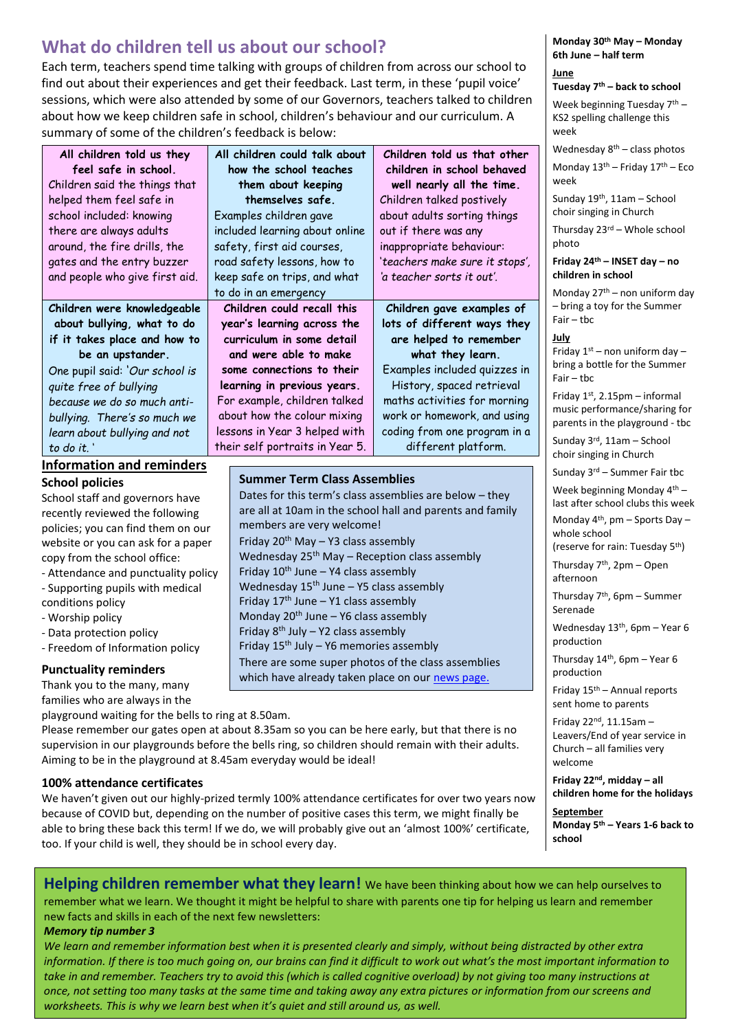## **What do children tell us about our school?**

Each term, teachers spend time talking with groups of children from across our school to find out about their experiences and get their feedback. Last term, in these 'pupil voice' sessions, which were also attended by some of our Governors, teachers talked to children about how we keep children safe in school, children's behaviour and our curriculum. A summary of some of the children's feedback is below:

| All children told us they          | All children could talk about   | Children told us that other                               | Wednesday $8th$ – class photos                                   |  |  |
|------------------------------------|---------------------------------|-----------------------------------------------------------|------------------------------------------------------------------|--|--|
| feel safe in school.               | how the school teaches          | children in school behaved                                | Monday $13th$ – Friday $17th$ – Eco<br>week                      |  |  |
| Children said the things that      | them about keeping              | well nearly all the time.                                 |                                                                  |  |  |
| helped them feel safe in           | themselves safe.                | Children talked postively                                 | Sunday $19th$ , 11am - School                                    |  |  |
| school included: knowing           | Examples children gave          | about adults sorting things                               | choir singing in Church                                          |  |  |
| there are always adults            | included learning about online  | out if there was any                                      | Thursday 23rd - Whole school                                     |  |  |
| around, the fire drills, the       | safety, first aid courses,      | inappropriate behaviour:                                  | photo                                                            |  |  |
| gates and the entry buzzer         | road safety lessons, how to     | 'teachers make sure it stops',                            | Friday 24th - INSET day - no                                     |  |  |
| and people who give first aid.     | keep safe on trips, and what    | 'a teacher sorts it out'.                                 | children in school                                               |  |  |
|                                    | to do in an emergency           |                                                           | Monday $27th$ – non uniform day                                  |  |  |
| Children were knowledgeable        | Children could recall this      | Children gave examples of                                 | - bring a toy for the Summer<br>$Fair - the$                     |  |  |
| about bullying, what to do         | year's learning across the      | lots of different ways they                               |                                                                  |  |  |
| if it takes place and how to       | curriculum in some detail       | are helped to remember                                    | July                                                             |  |  |
| be an upstander.                   | and were able to make           | what they learn.                                          | Friday $1st$ – non uniform day –                                 |  |  |
| One pupil said: 'Our school is     | some connections to their       | Examples included quizzes in                              | bring a bottle for the Summer                                    |  |  |
| quite free of bullying             | learning in previous years.     | History, spaced retrieval                                 | $Fair - the$                                                     |  |  |
| because we do so much anti-        | For example, children talked    | maths activities for morning                              | Friday 1st, 2.15pm - informal                                    |  |  |
| bullying. There's so much we       | about how the colour mixing     | work or homework, and using                               | music performance/sharing for<br>parents in the playground - tbc |  |  |
| learn about bullying and not       | lessons in Year 3 helped with   | coding from one program in a                              |                                                                  |  |  |
| to do it.'                         | their self portraits in Year 5. | different platform.                                       | Sunday 3rd, 11am - School                                        |  |  |
| <b>Information and reminders</b>   |                                 |                                                           | choir singing in Church<br>Sunday $3^{rd}$ – Summer Fair tbc     |  |  |
| <b>School policies</b>             |                                 | <b>Summer Term Class Assemblies</b>                       |                                                                  |  |  |
| School staff and governors have    |                                 | Dates for this term's class assemblies are below - they   | Week beginning Monday 4th -<br>last after school clubs this week |  |  |
| recently reviewed the following    |                                 | are all at 10am in the school hall and parents and family |                                                                  |  |  |
| policies: vou can find them on our |                                 | members are very welcome!                                 |                                                                  |  |  |

Friday  $20^{th}$  May – Y3 class assembly

Friday  $10^{th}$  June – Y4 class assembly Wednesday  $15<sup>th</sup>$  June – Y5 class assembly Friday  $17<sup>th</sup>$  June – Y1 class assembly Monday  $20<sup>th</sup>$  June – Y6 class assembly Friday  $8^{th}$  July – Y2 class assembly Friday  $15<sup>th</sup>$  July – Y6 memories assembly

Wednesday  $25<sup>th</sup>$  May – Reception class assembly

There are some super photos of the class assemblies which have already taken place on our [news page.](https://christchurchschool.co.uk/12553-2/)

recently reviewed the following policies; you can find them on our website or you can ask for a paper copy from the school office:

- Attendance and punctuality policy

- Supporting pupils with medical
- conditions policy
- Worship policy
- Data protection policy
- Freedom of Information policy

#### **Punctuality reminders**

Thank you to the many, many families who are always in the

playground waiting for the bells to ring at 8.50am.

Please remember our gates open at about 8.35am so you can be here early, but that there is no supervision in our playgrounds before the bells ring, so children should remain with their adults. Aiming to be in the playground at 8.45am everyday would be ideal!

#### **100% attendance certificates**

We haven't given out our highly-prized termly 100% attendance certificates for over two years now because of COVID but, depending on the number of positive cases this term, we might finally be able to bring these back this term! If we do, we will probably give out an 'almost 100%' certificate, too. If your child is well, they should be in school every day.

**Monday 30th May – Monday 6th June – half term June**

**Tuesday 7th – back to school**

Week beginning Tuesday 7<sup>th</sup> -KS2 spelling challenge this week

whole school

(reserve for rain: Tuesday 5th)

Thursday 7th, 2pm – Open afternoon

Thursday 7th, 6pm – Summer Serenade

Wednesday 13<sup>th</sup>, 6pm – Year 6 production

Thursday  $14<sup>th</sup>$ , 6pm – Year 6 production

Friday  $15<sup>th</sup>$  – Annual reports sent home to parents

Friday 22nd, 11.15am – Leavers/End of year service in Church – all families very welcome

**Friday 22nd, midday – all children home for the holidays**

**September Monday 5th – Years 1-6 back to school**

**Helping children remember what they learn!** We have been thinking about how we can help ourselves to remember what we learn. We thought it might be helpful to share with parents one tip for helping us learn and remember new facts and skills in each of the next few newsletters: *Memory tip number 3*

*We learn and remember information best when it is presented clearly and simply, without being distracted by other extra information. If there is too much going on, our brains can find it difficult to work out what's the most important information to take in and remember. Teachers try to avoid this (which is called cognitive overload) by not giving too many instructions at once, not setting too many tasks at the same time and taking away any extra pictures or information from our screens and worksheets. This is why we learn best when it's quiet and still around us, as well.*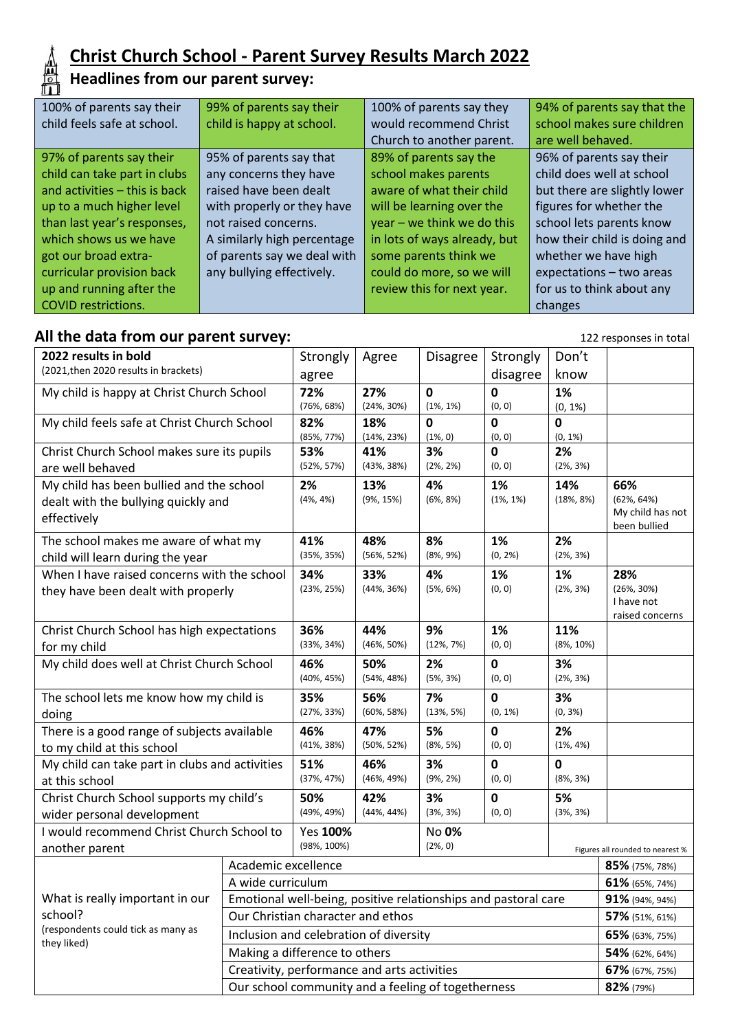

## **Christ Church School - Parent Survey Results March 2022**

#### **Headlines from our parent survey:**

| 100% of parents say their     | 99% of parents say their    | 100% of parents say they     | 94% of parents say that the  |  |
|-------------------------------|-----------------------------|------------------------------|------------------------------|--|
| child feels safe at school.   | child is happy at school.   | would recommend Christ       | school makes sure children   |  |
|                               |                             | Church to another parent.    | are well behaved.            |  |
| 97% of parents say their      | 95% of parents say that     | 89% of parents say the       | 96% of parents say their     |  |
| child can take part in clubs  | any concerns they have      | school makes parents         | child does well at school    |  |
| and activities - this is back | raised have been dealt      | aware of what their child    | but there are slightly lower |  |
| up to a much higher level     | with properly or they have  | will be learning over the    | figures for whether the      |  |
| than last year's responses,   | not raised concerns.        | year - we think we do this   | school lets parents know     |  |
| which shows us we have        | A similarly high percentage | in lots of ways already, but | how their child is doing and |  |
| got our broad extra-          | of parents say we deal with | some parents think we        | whether we have high         |  |
| curricular provision back     | any bullying effectively.   | could do more, so we will    | expectations - two areas     |  |
| up and running after the      |                             | review this for next year.   | for us to think about any    |  |
| <b>COVID restrictions.</b>    |                             |                              | changes                      |  |

## All the data from our parent survey: **122** responses in total

| 2022 results in bold                                                     |                                                                | Strongly                                    | Agree                 | <b>Disagree</b>                  | Strongly     | Don't                      |                  |
|--------------------------------------------------------------------------|----------------------------------------------------------------|---------------------------------------------|-----------------------|----------------------------------|--------------|----------------------------|------------------|
| (2021, then 2020 results in brackets)                                    |                                                                | agree                                       |                       |                                  | disagree     | know                       |                  |
| My child is happy at Christ Church School                                |                                                                | 72%                                         | 27%                   | $\mathbf 0$                      | 0            | 1%                         |                  |
|                                                                          |                                                                | (76%, 68%)                                  | $(24\%, 30\%)$        | $(1\%, 1\%)$                     | (0, 0)       | $(0, 1\%)$                 |                  |
| My child feels safe at Christ Church School                              |                                                                | 82%                                         | 18%                   | $\mathbf{0}$                     | 0            | $\mathbf{0}$<br>$(0, 1\%)$ |                  |
| Christ Church School makes sure its pupils                               |                                                                | (85%, 77%)<br>53%                           | $(14\%, 23\%)$<br>41% | $(1\%, 0)$<br>3%                 | (0, 0)<br>0  | 2%                         |                  |
| are well behaved                                                         |                                                                | $(52\%, 57\%)$                              | (43%, 38%)            | (2%, 2%)                         | (0, 0)       | $(2\%, 3\%)$               |                  |
| My child has been bullied and the school                                 |                                                                | 2%                                          | 13%                   | 4%                               | 1%           | 14%                        | 66%              |
| dealt with the bullying quickly and                                      |                                                                | (4%, 4%)                                    | (9%, 15%)             | (6%, 8%)                         | $(1\%, 1\%)$ | (18%, 8%)                  | $(62\%, 64\%)$   |
| effectively                                                              |                                                                |                                             |                       |                                  |              |                            | My child has not |
|                                                                          |                                                                | 41%                                         | 48%                   | 8%                               | 1%           | 2%                         | been bullied     |
| The school makes me aware of what my<br>child will learn during the year |                                                                | (35%, 35%)                                  | $(56\%, 52\%)$        | (8%, 9%)                         | $(0, 2\%)$   | (2%, 3%)                   |                  |
| When I have raised concerns with the school                              |                                                                | 34%                                         | 33%                   | 4%                               | 1%           | 1%                         | 28%              |
| they have been dealt with properly                                       |                                                                | (23%, 25%)                                  | $(44\%, 36\%)$        | (5%, 6%)                         | (0, 0)       | $(2\%, 3\%)$               | $(26\%, 30\%)$   |
|                                                                          |                                                                |                                             |                       |                                  |              |                            | I have not       |
|                                                                          |                                                                | 36%                                         | 44%                   | 9%                               | 1%           | 11%                        | raised concerns  |
| Christ Church School has high expectations                               |                                                                | (33%, 34%)                                  | $(46\%, 50\%)$        | $(12\%, 7\%)$                    | (0, 0)       | $(8\%, 10\%)$              |                  |
| for my child<br>My child does well at Christ Church School               |                                                                | 46%                                         | 50%                   | 2%                               | 0            | 3%                         |                  |
|                                                                          |                                                                | $(40\%, 45\%)$                              | (54%, 48%)            | (5%, 3%)                         | (0, 0)       | (2%, 3%)                   |                  |
| The school lets me know how my child is                                  |                                                                | 35%                                         | 56%                   | 7%                               | 0            | 3%                         |                  |
| doing                                                                    |                                                                | (27%, 33%)                                  | $(60\%, 58\%)$        | (13%, 5%)                        | $(0, 1\%)$   | $(0, 3\%)$                 |                  |
| There is a good range of subjects available                              |                                                                | 46%                                         | 47%                   | 5%                               | 0            | 2%                         |                  |
| to my child at this school                                               |                                                                | $(41\%, 38\%)$                              | $(50\%, 52\%)$        | (8%, 5%)                         | (0, 0)       | $(1\%, 4\%)$               |                  |
| My child can take part in clubs and activities                           |                                                                | 51%                                         | 46%                   | 3%                               | 0            | 0                          |                  |
| at this school                                                           |                                                                | $(37\%, 47\%)$                              | $(46\%, 49\%)$        | (9%, 2%)                         | (0, 0)       | (8%, 3%)                   |                  |
| Christ Church School supports my child's                                 |                                                                | 50%                                         | 42%                   | 3%                               | 0            | 5%                         |                  |
| wider personal development                                               |                                                                | (49%, 49%)                                  | (44%, 44%)            | (3%, 3%)                         | (0, 0)       | (3%, 3%)                   |                  |
| I would recommend Christ Church School to                                |                                                                | Yes 100%<br>No 0%                           |                       |                                  |              |                            |                  |
| another parent                                                           |                                                                | (98%, 100%)<br>(2%, 0)                      |                       | Figures all rounded to nearest % |              |                            |                  |
|                                                                          | Academic excellence                                            |                                             |                       |                                  |              |                            | 85% (75%, 78%)   |
|                                                                          | A wide curriculum                                              |                                             |                       |                                  |              | 61% (65%, 74%)             |                  |
| What is really important in our                                          | Emotional well-being, positive relationships and pastoral care |                                             |                       |                                  |              | 91% (94%, 94%)             |                  |
| school?                                                                  | Our Christian character and ethos                              |                                             |                       |                                  |              | 57% (51%, 61%)             |                  |
| (respondents could tick as many as<br>they liked)                        | Inclusion and celebration of diversity                         |                                             |                       |                                  |              |                            | 65% (63%, 75%)   |
|                                                                          |                                                                | Making a difference to others               |                       |                                  |              |                            |                  |
|                                                                          |                                                                | Creativity, performance and arts activities |                       |                                  |              |                            | 67% (67%, 75%)   |
| Our school community and a feeling of togetherness                       |                                                                |                                             |                       |                                  |              |                            | 82% (79%)        |